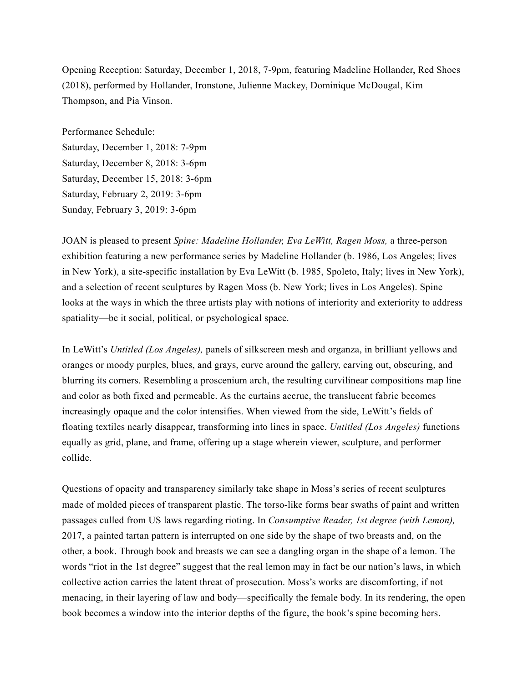Opening Reception: Saturday, December 1, 2018, 7-9pm, featuring Madeline Hollander, Red Shoes (2018), performed by Hollander, Ironstone, Julienne Mackey, Dominique McDougal, Kim Thompson, and Pia Vinson.

Performance Schedule: Saturday, December 1, 2018: 7-9pm Saturday, December 8, 2018: 3-6pm Saturday, December 15, 2018: 3-6pm Saturday, February 2, 2019: 3-6pm Sunday, February 3, 2019: 3-6pm

JOAN is pleased to present *Spine: Madeline Hollander, Eva LeWitt, Ragen Moss,* a three-person exhibition featuring a new performance series by Madeline Hollander (b. 1986, Los Angeles; lives in New York), a site-specific installation by Eva LeWitt (b. 1985, Spoleto, Italy; lives in New York), and a selection of recent sculptures by Ragen Moss (b. New York; lives in Los Angeles). Spine looks at the ways in which the three artists play with notions of interiority and exteriority to address spatiality—be it social, political, or psychological space.

In LeWitt's *Untitled (Los Angeles),* panels of silkscreen mesh and organza, in brilliant yellows and oranges or moody purples, blues, and grays, curve around the gallery, carving out, obscuring, and blurring its corners. Resembling a proscenium arch, the resulting curvilinear compositions map line and color as both fixed and permeable. As the curtains accrue, the translucent fabric becomes increasingly opaque and the color intensifies. When viewed from the side, LeWitt's fields of floating textiles nearly disappear, transforming into lines in space. *Untitled (Los Angeles)* functions equally as grid, plane, and frame, offering up a stage wherein viewer, sculpture, and performer collide.

Questions of opacity and transparency similarly take shape in Moss's series of recent sculptures made of molded pieces of transparent plastic. The torso-like forms bear swaths of paint and written passages culled from US laws regarding rioting. In *Consumptive Reader, 1st degree (with Lemon),* 2017, a painted tartan pattern is interrupted on one side by the shape of two breasts and, on the other, a book. Through book and breasts we can see a dangling organ in the shape of a lemon. The words "riot in the 1st degree" suggest that the real lemon may in fact be our nation's laws, in which collective action carries the latent threat of prosecution. Moss's works are discomforting, if not menacing, in their layering of law and body—specifically the female body. In its rendering, the open book becomes a window into the interior depths of the figure, the book's spine becoming hers.